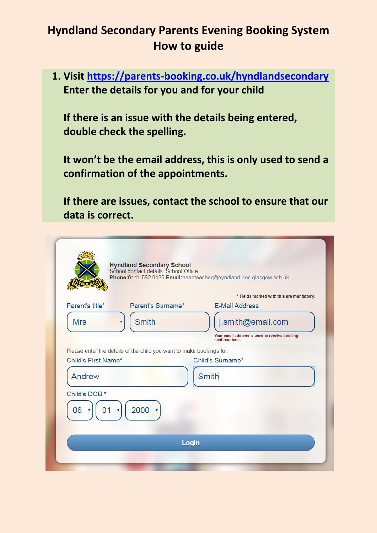**1. Visit<https://parents-booking.co.uk/hyndlandsecondary> Enter the details for you and for your child**

**If there is an issue with the details being entered, double check the spelling.** 

**It won't be the email address, this is only used to send a confirmation of the appointments.**

**If there are issues, contact the school to ensure that our data is correct.**

|                               | Hyndland Secondary School<br>School contact details: School Office   | Phone:0141 582 0130 Email:headteacher@hyndland-sec.glasgow.sch.uk  |
|-------------------------------|----------------------------------------------------------------------|--------------------------------------------------------------------|
| Parent's title*               | Parent's Surname*                                                    | * Fields marked with this are mandatory.<br><b>E-Mail Address</b>  |
| <b>Mrs</b>                    | <b>Smith</b>                                                         | j.smith@email.com<br>Your email address is used to receive booking |
| Child's First Name*<br>Andrew | Please enter the details of the child you want to make bookings for. | Child's Surname*<br><b>Smith</b>                                   |
| Child's DOB *<br>06<br>01     | 2000                                                                 |                                                                    |
|                               | Login                                                                |                                                                    |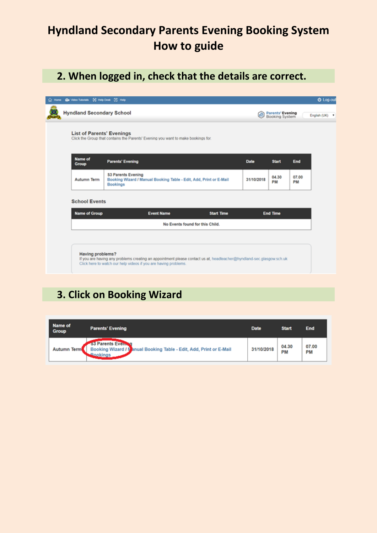# **2. When logged in, check that the details are correct.**

| Click the Group that contains the Parents' Evening you want to make bookings for.<br><b>Name of</b><br><b>Parents' Evening</b><br><b>Date</b><br><b>Start</b><br>Group<br><b>S3 Parents Evening</b> |             |
|-----------------------------------------------------------------------------------------------------------------------------------------------------------------------------------------------------|-------------|
|                                                                                                                                                                                                     |             |
|                                                                                                                                                                                                     | End         |
| 04.30<br>Booking Wizard / Manual Booking Table - Edit, Add, Print or E-Mail<br><b>Autumn Term</b><br>31/10/2018<br>PM<br>Bookings                                                                   | 07.00<br>PM |
| <b>School Events</b>                                                                                                                                                                                |             |
| <b>Name of Group</b><br><b>Event Name</b><br><b>End Time</b><br><b>Start Time</b>                                                                                                                   |             |
| No Events found for this Child.                                                                                                                                                                     |             |

#### **3. Click on Booking Wizard**

| Name of<br><b>Group</b> | <b>Parents' Evening</b>                                                                                             | <b>Date</b> | <b>Start</b> | <b>End</b>         |
|-------------------------|---------------------------------------------------------------------------------------------------------------------|-------------|--------------|--------------------|
| Autumn Term             | <b>S3 Parents Evening</b><br>Booking Wizard / Manual Booking Table - Edit, Add, Print or E-Mail<br><b>ABookings</b> | 31/10/2018  | 04.30<br>PM  | 07.00<br><b>PM</b> |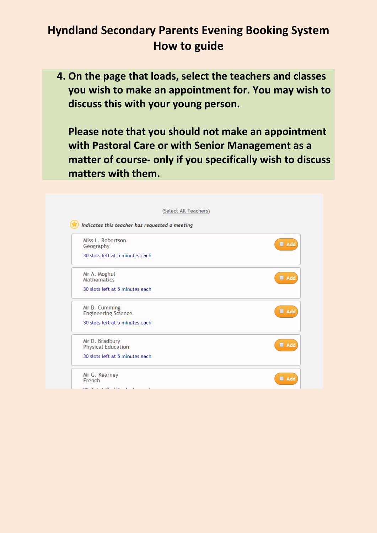**4. On the page that loads, select the teachers and classes you wish to make an appointment for. You may wish to discuss this with your young person.**

**Please note that you should not make an appointment with Pastoral Care or with Senior Management as a matter of course- only if you specifically wish to discuss matters with them.**

| Miss L. Robertson<br>Geography                               | ■ Add |
|--------------------------------------------------------------|-------|
| 30 slots left at 5 minutes each                              |       |
| Mr A. Moghul<br><b>Mathematics</b>                           | ■ Add |
| 30 slots left at 5 minutes each                              |       |
| Mr B. Cumming<br><b>Engineering Science</b>                  | Add   |
| 30 slots left at 5 minutes each                              |       |
| Mr D. Bradbury                                               | ■ Add |
| <b>Physical Education</b><br>30 slots left at 5 minutes each |       |